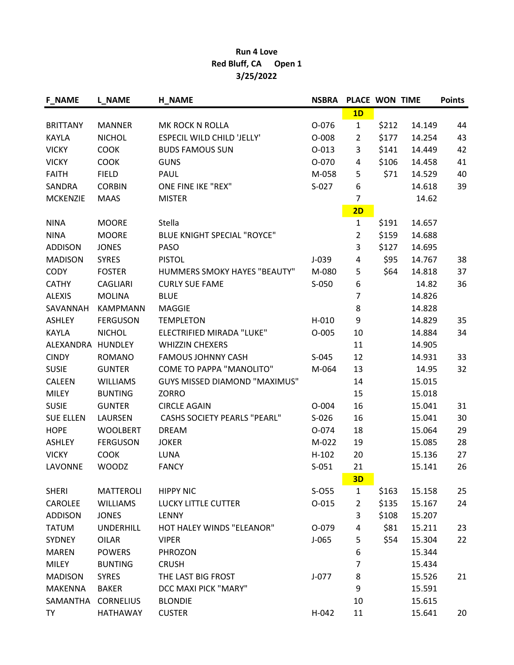## Run 4 Love Red Bluff, CA Open 1 3/25/2022

| <b>F_NAME</b>     | <b>L_NAME</b>    | <b>H_NAME</b>                        | <b>NSBRA</b> | PLACE WON TIME |       |        | <b>Points</b> |
|-------------------|------------------|--------------------------------------|--------------|----------------|-------|--------|---------------|
|                   |                  |                                      |              | 1D             |       |        |               |
| <b>BRITTANY</b>   | <b>MANNER</b>    | MK ROCK N ROLLA                      | 0-076        | $\mathbf{1}$   | \$212 | 14.149 | 44            |
| <b>KAYLA</b>      | <b>NICHOL</b>    | <b>ESPECIL WILD CHILD 'JELLY'</b>    | $O-008$      | $\overline{2}$ | \$177 | 14.254 | 43            |
| <b>VICKY</b>      | <b>COOK</b>      | <b>BUDS FAMOUS SUN</b>               | $0 - 013$    | 3              | \$141 | 14.449 | 42            |
| <b>VICKY</b>      | <b>COOK</b>      | <b>GUNS</b>                          | O-070        | 4              | \$106 | 14.458 | 41            |
| <b>FAITH</b>      | <b>FIELD</b>     | PAUL                                 | M-058        | 5              | \$71  | 14.529 | 40            |
| SANDRA            | <b>CORBIN</b>    | ONE FINE IKE "REX"                   | $S-027$      | 6              |       | 14.618 | 39            |
| <b>MCKENZIE</b>   | <b>MAAS</b>      | <b>MISTER</b>                        |              | $\overline{7}$ |       | 14.62  |               |
|                   |                  |                                      |              | 2D             |       |        |               |
| <b>NINA</b>       | <b>MOORE</b>     | Stella                               |              | $\mathbf{1}$   | \$191 | 14.657 |               |
| <b>NINA</b>       | <b>MOORE</b>     | <b>BLUE KNIGHT SPECIAL "ROYCE"</b>   |              | $\overline{2}$ | \$159 | 14.688 |               |
| <b>ADDISON</b>    | <b>JONES</b>     | PASO                                 |              | 3              | \$127 | 14.695 |               |
| <b>MADISON</b>    | <b>SYRES</b>     | <b>PISTOL</b>                        | $J-039$      | 4              | \$95  | 14.767 | 38            |
| <b>CODY</b>       | <b>FOSTER</b>    | <b>HUMMERS SMOKY HAYES "BEAUTY"</b>  | M-080        | 5              | \$64  | 14.818 | 37            |
| <b>CATHY</b>      | <b>CAGLIARI</b>  | <b>CURLY SUE FAME</b>                | S-050        | 6              |       | 14.82  | 36            |
| <b>ALEXIS</b>     | <b>MOLINA</b>    | <b>BLUE</b>                          |              | $\overline{7}$ |       | 14.826 |               |
| SAVANNAH          | <b>KAMPMANN</b>  | <b>MAGGIE</b>                        |              | 8              |       | 14.828 |               |
| <b>ASHLEY</b>     | <b>FERGUSON</b>  | <b>TEMPLETON</b>                     | H-010        | 9              |       | 14.829 | 35            |
| <b>KAYLA</b>      | <b>NICHOL</b>    | ELECTRIFIED MIRADA "LUKE"            | $O-005$      | 10             |       | 14.884 | 34            |
| ALEXANDRA HUNDLEY |                  | <b>WHIZZIN CHEXERS</b>               |              | 11             |       | 14.905 |               |
| <b>CINDY</b>      | <b>ROMANO</b>    | <b>FAMOUS JOHNNY CASH</b>            | $S-045$      | 12             |       | 14.931 | 33            |
| <b>SUSIE</b>      | <b>GUNTER</b>    | <b>COME TO PAPPA "MANOLITO"</b>      | M-064        | 13             |       | 14.95  | 32            |
| <b>CALEEN</b>     | <b>WILLIAMS</b>  | <b>GUYS MISSED DIAMOND "MAXIMUS"</b> |              | 14             |       | 15.015 |               |
| <b>MILEY</b>      | <b>BUNTING</b>   | <b>ZORRO</b>                         |              | 15             |       | 15.018 |               |
| <b>SUSIE</b>      | <b>GUNTER</b>    | <b>CIRCLE AGAIN</b>                  | $O - 004$    | 16             |       | 15.041 | 31            |
| <b>SUE ELLEN</b>  | LAURSEN          | <b>CASHS SOCIETY PEARLS "PEARL"</b>  | $S-026$      | 16             |       | 15.041 | 30            |
| <b>HOPE</b>       | <b>WOOLBERT</b>  | <b>DREAM</b>                         | O-074        | 18             |       | 15.064 | 29            |
| ASHLEY            | <b>FERGUSON</b>  | <b>JOKER</b>                         | M-022        | 19             |       | 15.085 | 28            |
| <b>VICKY</b>      | <b>COOK</b>      | LUNA                                 | $H-102$      | 20             |       | 15.136 | 27            |
| LAVONNE           | <b>WOODZ</b>     | <b>FANCY</b>                         | $S-051$      | 21             |       | 15.141 | 26            |
|                   |                  |                                      |              | 3D             |       |        |               |
| <b>SHERI</b>      | MATTEROLI        | <b>HIPPY NIC</b>                     | $S-O55$      | $\mathbf{1}$   | \$163 | 15.158 | 25            |
| CAROLEE           | <b>WILLIAMS</b>  | <b>LUCKY LITTLE CUTTER</b>           | $0 - 015$    | $\overline{2}$ | \$135 | 15.167 | 24            |
| <b>ADDISON</b>    | <b>JONES</b>     | LENNY                                |              | 3              | \$108 | 15.207 |               |
| <b>TATUM</b>      | <b>UNDERHILL</b> | HOT HALEY WINDS "ELEANOR"            | 0-079        | 4              | \$81  | 15.211 | 23            |
| SYDNEY            | <b>OILAR</b>     | <b>VIPER</b>                         | $J-065$      | 5              | \$54  | 15.304 | 22            |
| <b>MAREN</b>      | <b>POWERS</b>    | PHROZON                              |              | 6              |       | 15.344 |               |
| <b>MILEY</b>      | <b>BUNTING</b>   | <b>CRUSH</b>                         |              | $\overline{7}$ |       | 15.434 |               |
| <b>MADISON</b>    | <b>SYRES</b>     | THE LAST BIG FROST                   | $J-077$      | 8              |       | 15.526 | 21            |
| <b>MAKENNA</b>    | <b>BAKER</b>     | DCC MAXI PICK "MARY"                 |              | 9              |       | 15.591 |               |
| SAMANTHA          | <b>CORNELIUS</b> | <b>BLONDIE</b>                       |              | 10             |       | 15.615 |               |
| TY                | <b>HATHAWAY</b>  | <b>CUSTER</b>                        | $H-042$      | 11             |       | 15.641 | 20            |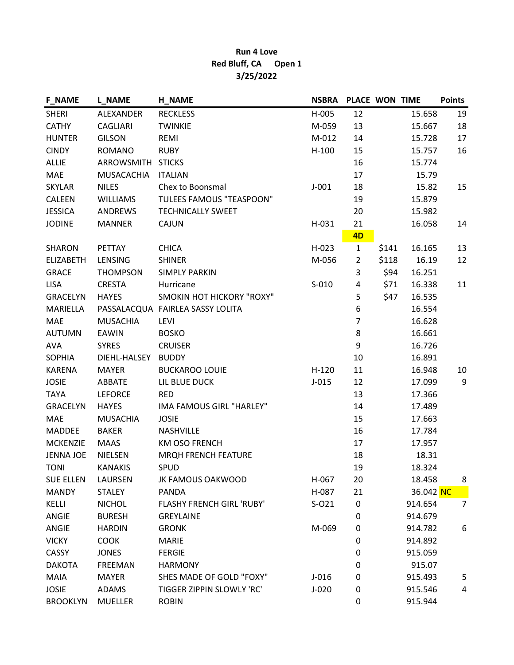## Run 4 Love Red Bluff, CA Open 1 3/25/2022

| <b>F_NAME</b>    | <b>L_NAME</b>     | <b>H_NAME</b>                    | <b>NSBRA</b> | PLACE WON TIME |       |           | <b>Points</b>  |
|------------------|-------------------|----------------------------------|--------------|----------------|-------|-----------|----------------|
| <b>SHERI</b>     | ALEXANDER         | <b>RECKLESS</b>                  | $H-005$      | 12             |       | 15.658    | 19             |
| <b>CATHY</b>     | CAGLIARI          | <b>TWINKIE</b>                   | M-059        | 13             |       | 15.667    | 18             |
| <b>HUNTER</b>    | <b>GILSON</b>     | REMI                             | M-012        | 14             |       | 15.728    | 17             |
| <b>CINDY</b>     | <b>ROMANO</b>     | <b>RUBY</b>                      | $H-100$      | 15             |       | 15.757    | 16             |
| <b>ALLIE</b>     | ARROWSMITH STICKS |                                  |              | 16             |       | 15.774    |                |
| MAE              | <b>MUSACACHIA</b> | <b>ITALIAN</b>                   |              | 17             |       | 15.79     |                |
| <b>SKYLAR</b>    | <b>NILES</b>      | Chex to Boonsmal                 | $J-001$      | 18             |       | 15.82     | 15             |
| CALEEN           | <b>WILLIAMS</b>   | <b>TULEES FAMOUS "TEASPOON"</b>  |              | 19             |       | 15.879    |                |
| <b>JESSICA</b>   | ANDREWS           | <b>TECHNICALLY SWEET</b>         |              | 20             |       | 15.982    |                |
| <b>JODINE</b>    | <b>MANNER</b>     | <b>CAJUN</b>                     | H-031        | 21             |       | 16.058    | 14             |
|                  |                   |                                  |              | 4D             |       |           |                |
| SHARON           | PETTAY            | <b>CHICA</b>                     | $H-023$      | $\mathbf{1}$   | \$141 | 16.165    | 13             |
| <b>ELIZABETH</b> | LENSING           | <b>SHINER</b>                    | M-056        | $\overline{2}$ | \$118 | 16.19     | 12             |
| <b>GRACE</b>     | <b>THOMPSON</b>   | <b>SIMPLY PARKIN</b>             |              | 3              | \$94  | 16.251    |                |
| <b>LISA</b>      | <b>CRESTA</b>     | Hurricane                        | $S-010$      | 4              | \$71  | 16.338    | 11             |
| GRACELYN         | <b>HAYES</b>      | SMOKIN HOT HICKORY "ROXY"        |              | 5              | \$47  | 16.535    |                |
| MARIELLA         |                   | PASSALACQUA FAIRLEA SASSY LOLITA |              | 6              |       | 16.554    |                |
| <b>MAE</b>       | <b>MUSACHIA</b>   | LEVI                             |              | $\overline{7}$ |       | 16.628    |                |
| <b>AUTUMN</b>    | <b>EAWIN</b>      | <b>BOSKO</b>                     |              | 8              |       | 16.661    |                |
| <b>AVA</b>       | <b>SYRES</b>      | <b>CRUISER</b>                   |              | 9              |       | 16.726    |                |
| <b>SOPHIA</b>    | DIEHL-HALSEY      | <b>BUDDY</b>                     |              | 10             |       | 16.891    |                |
| <b>KARENA</b>    | <b>MAYER</b>      | <b>BUCKAROO LOUIE</b>            | $H-120$      | 11             |       | 16.948    | 10             |
| <b>JOSIE</b>     | ABBATE            | LIL BLUE DUCK                    | $J-015$      | 12             |       | 17.099    | 9              |
| <b>TAYA</b>      | <b>LEFORCE</b>    | <b>RED</b>                       |              | 13             |       | 17.366    |                |
| <b>GRACELYN</b>  | <b>HAYES</b>      | <b>IMA FAMOUS GIRL "HARLEY"</b>  |              | 14             |       | 17.489    |                |
| MAE              | <b>MUSACHIA</b>   | <b>JOSIE</b>                     |              | 15             |       | 17.663    |                |
| <b>MADDEE</b>    | <b>BAKER</b>      | NASHVILLE                        |              | 16             |       | 17.784    |                |
| <b>MCKENZIE</b>  | <b>MAAS</b>       | <b>KM OSO FRENCH</b>             |              | 17             |       | 17.957    |                |
| <b>JENNA JOE</b> | <b>NIELSEN</b>    | MRQH FRENCH FEATURE              |              | 18             |       | 18.31     |                |
| <b>TONI</b>      | <b>KANAKIS</b>    | SPUD                             |              | 19             |       | 18.324    |                |
| <b>SUE ELLEN</b> | LAURSEN           | JK FAMOUS OAKWOOD                | H-067        | 20             |       | 18.458    | 8              |
| <b>MANDY</b>     | <b>STALEY</b>     | PANDA                            | H-087        | 21             |       | 36.042 NC |                |
| KELLI            | <b>NICHOL</b>     | <b>FLASHY FRENCH GIRL 'RUBY'</b> | $S-O21$      | 0              |       | 914.654   | $\overline{7}$ |
| ANGIE            | <b>BURESH</b>     | <b>GREYLAINE</b>                 |              | 0              |       | 914.679   |                |
| ANGIE            | <b>HARDIN</b>     | <b>GRONK</b>                     | M-069        | 0              |       | 914.782   | 6              |
| <b>VICKY</b>     | <b>COOK</b>       | <b>MARIE</b>                     |              | 0              |       | 914.892   |                |
| CASSY            | <b>JONES</b>      | <b>FERGIE</b>                    |              | 0              |       | 915.059   |                |
| <b>DAKOTA</b>    | <b>FREEMAN</b>    | <b>HARMONY</b>                   |              | 0              |       | 915.07    |                |
| <b>MAIA</b>      | <b>MAYER</b>      | SHES MADE OF GOLD "FOXY"         | $J-016$      | 0              |       | 915.493   | 5              |
| <b>JOSIE</b>     | <b>ADAMS</b>      | TIGGER ZIPPIN SLOWLY 'RC'        | $J-020$      | 0              |       | 915.546   | 4              |
| <b>BROOKLYN</b>  | <b>MUELLER</b>    | <b>ROBIN</b>                     |              | 0              |       | 915.944   |                |